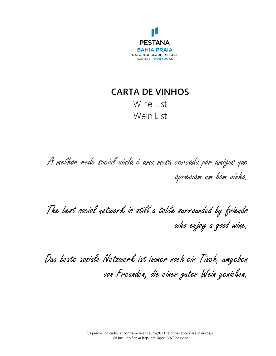

# **CARTA DE VINHOS** Wine List Wein List

A melhor rede social ainda é uma mesa cercada por amigos que apreciam um bom vinho.

The best social network is still a table surrounded by friends who enjoy a good wine.

Das beste soziale Netzwerk ist immer noch ein Tisch, umgeben von Freunden, die einen guten Wein genießen.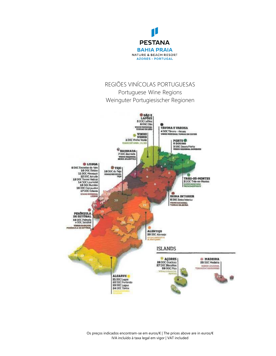

### REGIÕES VINÍCOLAS PORTUGUESAS Portuguese Wine Regions Weinguter Portugiesischer Regionen

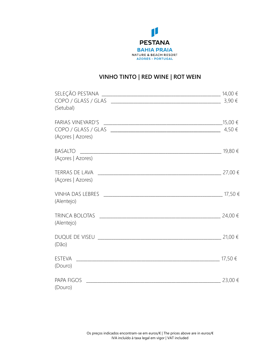

## **VINHO TINTO | RED WINE | ROT WEIN**

| (Setubal)                                                    | 3,90€       |
|--------------------------------------------------------------|-------------|
| <b>FARIAS VINEYARD'S</b><br>(Açores   Azores)                |             |
| <b>BASALTO</b><br>$\frac{1}{2}$ 19,80 €<br>(Açores   Azores) |             |
| (Açores   Azores)                                            |             |
| (Alentejo)                                                   |             |
| (Alentejo)                                                   |             |
| (Dão)                                                        |             |
| (Douro)                                                      |             |
| PAPA FIGOS <u>________________</u><br>(Douro)                | $23,00 \in$ |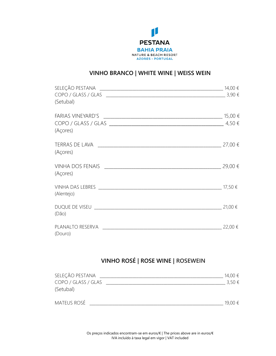

## **VINHO BRANCO | WHITE WINE | WEISS WEIN**

| SELEÇÃO PESTANA $\_$                                                                                                   |             |
|------------------------------------------------------------------------------------------------------------------------|-------------|
| (Setubal)                                                                                                              |             |
|                                                                                                                        |             |
| (Açores)                                                                                                               | 27,00 €     |
| (Açores)                                                                                                               |             |
| <b>VINHA DOS FENAIS</b><br>(Açores)                                                                                    | 29,00 €     |
| (Alentejo)                                                                                                             |             |
| DUQUE DE VISEU ANNO 1999 DE VISEU ANNO 1999 DE VISEU ANNO 1999 DE VISEU ANNO 1999 DE VISEU ANNO 1999 DE VISEU<br>(Dão) | $21,00 \in$ |
| PLANALTO RESERVA<br>(Douro)                                                                                            | 22,00 €     |

# **VINHO ROSÉ | ROSE WINE | ROSEWEIN**

| SELEÇÃO PESTANA     | 14,00 €    |
|---------------------|------------|
| COPO / GLASS / GLAS | $3,50 \in$ |
| (Setubal)           |            |
| <b>MATEUS ROSÉ</b>  | 19,00 €    |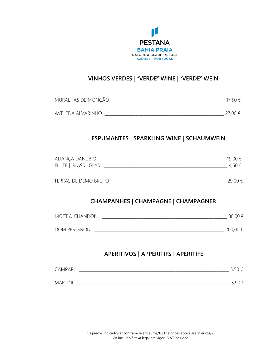

#### **VINHOS VERDES |** "**VERDE**" **WINE |** "**VERDE**" **WEIN**

| MURALHAS DE MONÇÃO | 17,50 €     |
|--------------------|-------------|
| aveleda alvarinho  | $27.00 \in$ |

#### **ESPUMANTES | SPARKLING WINE | SCHAUMWEIN**

| ALIANÇA DANUBIO      | 19,00 € |
|----------------------|---------|
| FLUTE   GLASS   GLAS | 4.50 €  |
|                      |         |

| $- - - -$<br>--<br>--<br>$\mathcal{L}$<br>--<br>-<br>-<br>$\sim$ | ) (<br>and the control of the con- |  |
|------------------------------------------------------------------|------------------------------------|--|
|                                                                  |                                    |  |

#### **CHAMPANHES | CHAMPAGNE | CHAMPAGNER**

| MOET & CHANDON      | 80,00 €  |
|---------------------|----------|
|                     |          |
| <b>DOM PERIGNON</b> | 200,00 € |

#### **APERITIVOS | APPERITIFS | APERITIFE**

| CAMPARI        | $\overline{\phantom{0}}$<br>$\sim$ 1 – |
|----------------|----------------------------------------|
|                |                                        |
| <b>MARTINI</b> | חם כ                                   |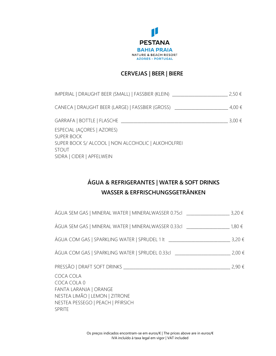

#### **CERVEJAS | BEER | BIERE**

| IMPERIAL   DRAUGHT BEER (SMALL)   FASSBIER (KLEIN) _____________________________                                                                   | 2,50 €     |
|----------------------------------------------------------------------------------------------------------------------------------------------------|------------|
| CANECA   DRAUGHT BEER (LARGE)   FASSBIER (GROSS) _______________________________                                                                   | $4,00 \in$ |
| GARRAFA   BOTTLE   FLASCHE                                                                                                                         | $3,00 \in$ |
| ESPECIAL (AÇORES   AZORES)<br><b>SUPER BOCK</b><br>SUPER BOCK S/ ALCOOL   NON ALCOHOLIC   ALKOHOLFREI<br><b>STOUT</b><br>SIDRA   CIDER   APFELWEIN |            |

# **ÁGUA & REFRIGERANTES | WATER & SOFT DRINKS WASSER & ERFRISCHUNGSGETRÄNKEN**

| ÁGUA SEM GAS   MINERAL WATER   MINERALWASSER 0.75cl $\leq$ 3,20 $\in$                                                               |            |
|-------------------------------------------------------------------------------------------------------------------------------------|------------|
| ÁGUA SEM GAS   MINERAL WATER   MINERALWASSER 0.33cl                                                                                 | 1,80 €     |
| ÁGUA COM GAS   SPARKLING WATER   SPRUDEL 1 It                                                                                       | $3,20 \in$ |
| ÁGUA COM GAS   SPARKLING WATER   SPRUDEL 0.33cl ________________________________                                                    | $2,00 \in$ |
| PRESSÃO   DRAFT SOFT DRINKS                                                                                                         | 2,90€      |
| COCA COLA<br>COCA COLA 0<br>FANTA LARANJA   ORANGE<br>NESTEA LIMÃO   LEMON   ZITRONE<br>NESTEA PESSEGO   PEACH   PFIRSICH<br>SPRITE |            |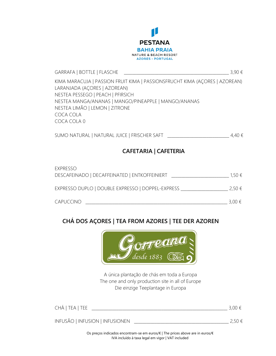

 $GARRAFA | BOTTLE | FLASCHE |$ KIMA MARACUJA | PASSION FRUIT KIMA | PASSIONSFRUCHT KIMA (AÇORES | AZOREAN) LARANJADA (AÇORES | AZOREAN) NESTEA PESSEGO | PEACH | PFIRSICH NESTEA MANGA/ANANAS | MANGO/PINEAPPLE | MANGO/ANANAS NESTEA LIMÃO | LEMON | ZITRONE COCA COLA COCA COLA 0

SUMO NATURAL | NATURAL JUICE | FRISCHER SAFT \_\_\_\_\_\_\_\_\_\_\_\_\_\_\_\_\_\_\_\_\_\_\_\_\_\_\_\_\_\_ 4,40 €

#### **CAFETARIA | CAFETERIA**

| EXPRESSO<br>DESCAFEINADO   DECAFFEINATED   ENTKOFFEINIERT | $1.50 \in$      |
|-----------------------------------------------------------|-----------------|
| EXPRESSO DUPLO   DOUBLE EXPRESSO   DOPPEL-EXPRESS         | 2.50 €          |
| <b>CAPUCCINO</b>                                          | 3.00 $\epsilon$ |

# **CHÁ DOS AÇORES | TEA FROM AZORES | TEE DER AZOREN**



A única plantação de chás em toda a Europa The one and only production site in all of Europe Die einzige Teeplantage in Europa

| CHÁ   TEA   TEE                 | 3,00 €        |
|---------------------------------|---------------|
| INFUSÃO   INFUSION   INFUSIONEN | $2.50 \notin$ |

Os preços indicados encontram-se em euros/€ | The prices above are in euros/€ IVA incluído à taxa legal em vigor | VAT included